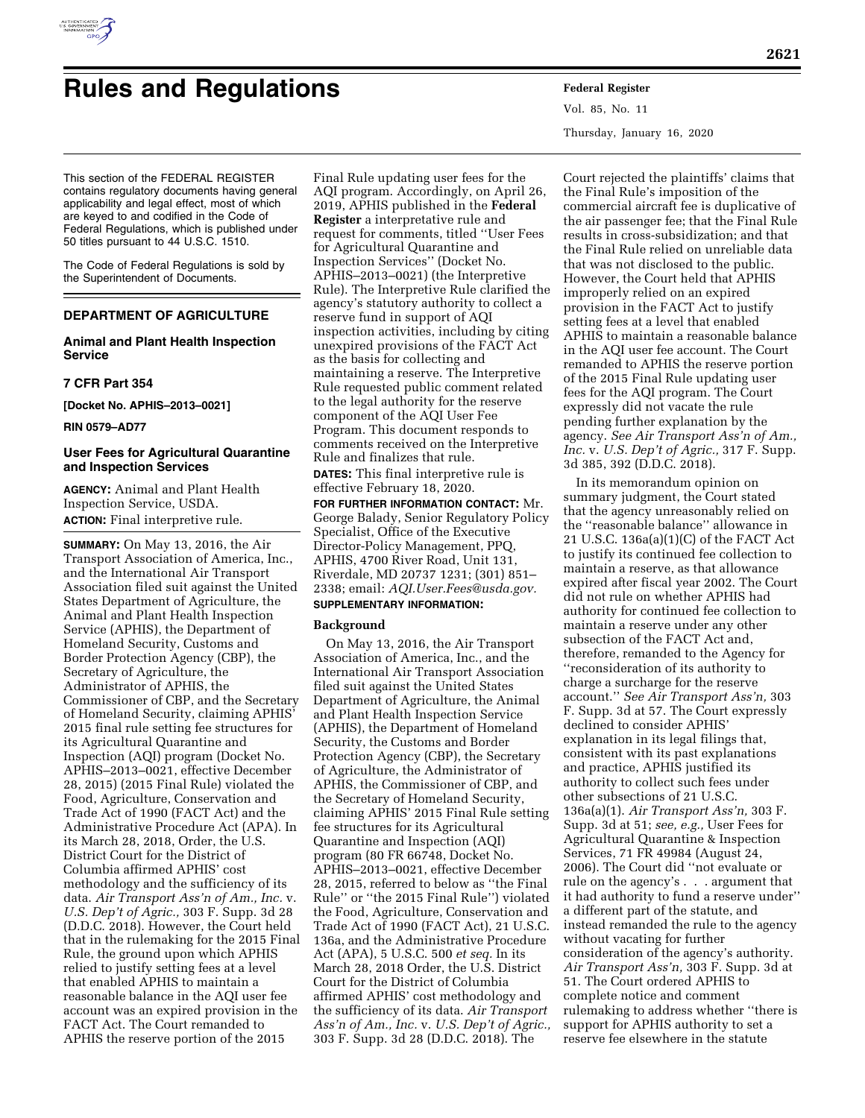

# **Rules and Regulations Federal Register**

This section of the FEDERAL REGISTER contains regulatory documents having general applicability and legal effect, most of which are keyed to and codified in the Code of Federal Regulations, which is published under 50 titles pursuant to 44 U.S.C. 1510.

The Code of Federal Regulations is sold by the Superintendent of Documents.

### **DEPARTMENT OF AGRICULTURE**

#### **Animal and Plant Health Inspection Service**

#### **7 CFR Part 354**

**[Docket No. APHIS–2013–0021]** 

**RIN 0579–AD77** 

#### **User Fees for Agricultural Quarantine and Inspection Services**

**AGENCY:** Animal and Plant Health Inspection Service, USDA. **ACTION:** Final interpretive rule.

**SUMMARY:** On May 13, 2016, the Air Transport Association of America, Inc., and the International Air Transport Association filed suit against the United States Department of Agriculture, the Animal and Plant Health Inspection Service (APHIS), the Department of Homeland Security, Customs and Border Protection Agency (CBP), the Secretary of Agriculture, the Administrator of APHIS, the Commissioner of CBP, and the Secretary of Homeland Security, claiming APHIS' 2015 final rule setting fee structures for its Agricultural Quarantine and Inspection (AQI) program (Docket No. APHIS–2013–0021, effective December 28, 2015) (2015 Final Rule) violated the Food, Agriculture, Conservation and Trade Act of 1990 (FACT Act) and the Administrative Procedure Act (APA). In its March 28, 2018, Order, the U.S. District Court for the District of Columbia affirmed APHIS' cost methodology and the sufficiency of its data. *Air Transport Ass'n of Am., Inc.* v. *U.S. Dep't of Agric.,* 303 F. Supp. 3d 28 (D.D.C. 2018). However, the Court held that in the rulemaking for the 2015 Final Rule, the ground upon which APHIS relied to justify setting fees at a level that enabled APHIS to maintain a reasonable balance in the AQI user fee account was an expired provision in the FACT Act. The Court remanded to APHIS the reserve portion of the 2015

Final Rule updating user fees for the AQI program. Accordingly, on April 26, 2019, APHIS published in the **Federal Register** a interpretative rule and request for comments, titled ''User Fees for Agricultural Quarantine and Inspection Services'' (Docket No. APHIS–2013–0021) (the Interpretive Rule). The Interpretive Rule clarified the agency's statutory authority to collect a reserve fund in support of AQI inspection activities, including by citing unexpired provisions of the FACT Act as the basis for collecting and maintaining a reserve. The Interpretive Rule requested public comment related to the legal authority for the reserve component of the AQI User Fee Program. This document responds to comments received on the Interpretive Rule and finalizes that rule.

**DATES:** This final interpretive rule is effective February 18, 2020.

**FOR FURTHER INFORMATION CONTACT:** Mr. George Balady, Senior Regulatory Policy Specialist, Office of the Executive Director-Policy Management, PPQ, APHIS, 4700 River Road, Unit 131, Riverdale, MD 20737 1231; (301) 851– 2338; email: *[AQI.User.Fees@usda.gov.](mailto:AQI.User.Fees@usda.gov)*  **SUPPLEMENTARY INFORMATION:** 

# **Background**

On May 13, 2016, the Air Transport Association of America, Inc., and the International Air Transport Association filed suit against the United States Department of Agriculture, the Animal and Plant Health Inspection Service (APHIS), the Department of Homeland Security, the Customs and Border Protection Agency (CBP), the Secretary of Agriculture, the Administrator of APHIS, the Commissioner of CBP, and the Secretary of Homeland Security, claiming APHIS' 2015 Final Rule setting fee structures for its Agricultural Quarantine and Inspection (AQI) program (80 FR 66748, Docket No. APHIS–2013–0021, effective December 28, 2015, referred to below as ''the Final Rule'' or ''the 2015 Final Rule'') violated the Food, Agriculture, Conservation and Trade Act of 1990 (FACT Act), 21 U.S.C. 136a, and the Administrative Procedure Act (APA), 5 U.S.C. 500 *et seq.* In its March 28, 2018 Order, the U.S. District Court for the District of Columbia affirmed APHIS' cost methodology and the sufficiency of its data. *Air Transport Ass'n of Am., Inc.* v. *U.S. Dep't of Agric.,*  303 F. Supp. 3d 28 (D.D.C. 2018). The

Vol. 85, No. 11 Thursday, January 16, 2020

Court rejected the plaintiffs' claims that the Final Rule's imposition of the commercial aircraft fee is duplicative of the air passenger fee; that the Final Rule results in cross-subsidization; and that the Final Rule relied on unreliable data that was not disclosed to the public. However, the Court held that APHIS improperly relied on an expired provision in the FACT Act to justify setting fees at a level that enabled APHIS to maintain a reasonable balance in the AQI user fee account. The Court remanded to APHIS the reserve portion of the 2015 Final Rule updating user fees for the AQI program. The Court expressly did not vacate the rule pending further explanation by the agency. *See Air Transport Ass'n of Am., Inc.* v. *U.S. Dep't of Agric.,* 317 F. Supp. 3d 385, 392 (D.D.C. 2018).

In its memorandum opinion on summary judgment, the Court stated that the agency unreasonably relied on the ''reasonable balance'' allowance in 21 U.S.C. 136a(a)(1)(C) of the FACT Act to justify its continued fee collection to maintain a reserve, as that allowance expired after fiscal year 2002. The Court did not rule on whether APHIS had authority for continued fee collection to maintain a reserve under any other subsection of the FACT Act and, therefore, remanded to the Agency for ''reconsideration of its authority to charge a surcharge for the reserve account.'' *See Air Transport Ass'n,* 303 F. Supp. 3d at 57. The Court expressly declined to consider APHIS' explanation in its legal filings that, consistent with its past explanations and practice, APHIS justified its authority to collect such fees under other subsections of 21 U.S.C. 136a(a)(1). *Air Transport Ass'n,* 303 F. Supp. 3d at 51; *see, e.g.,* User Fees for Agricultural Quarantine & Inspection Services, 71 FR 49984 (August 24, 2006). The Court did ''not evaluate or rule on the agency's . . . argument that it had authority to fund a reserve under'' a different part of the statute, and instead remanded the rule to the agency without vacating for further consideration of the agency's authority. *Air Transport Ass'n,* 303 F. Supp. 3d at 51. The Court ordered APHIS to complete notice and comment rulemaking to address whether ''there is support for APHIS authority to set a reserve fee elsewhere in the statute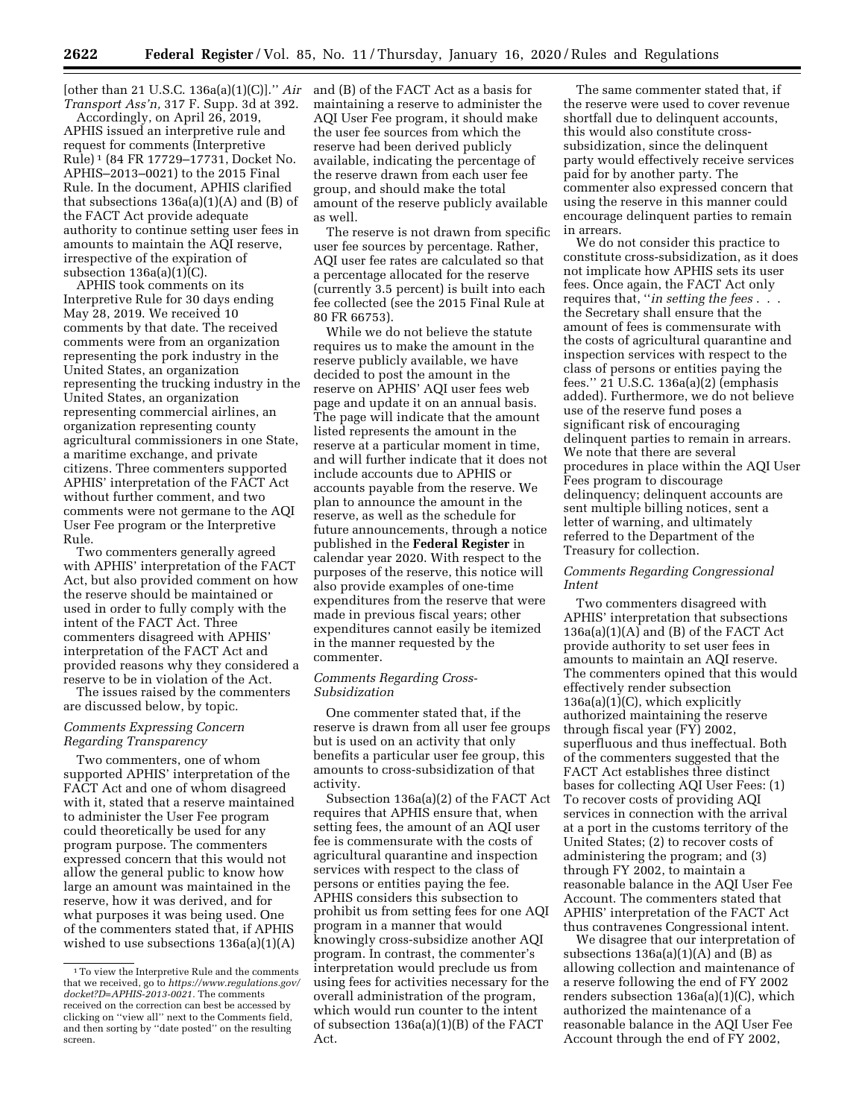[other than 21 U.S.C.  $136a(a)(1)(C)$ ]." *Air* and (B) of the FACT Act as a basis for *Transport Ass'n,* 317 F. Supp. 3d at 392.

Accordingly, on April 26, 2019, APHIS issued an interpretive rule and request for comments (Interpretive Rule) 1 (84 FR 17729–17731, Docket No. APHIS–2013–0021) to the 2015 Final Rule. In the document, APHIS clarified that subsections 136a(a)(1)(A) and (B) of the FACT Act provide adequate authority to continue setting user fees in amounts to maintain the AQI reserve, irrespective of the expiration of subsection  $136a(a)(1)(C)$ .

APHIS took comments on its Interpretive Rule for 30 days ending May 28, 2019. We received 10 comments by that date. The received comments were from an organization representing the pork industry in the United States, an organization representing the trucking industry in the United States, an organization representing commercial airlines, an organization representing county agricultural commissioners in one State, a maritime exchange, and private citizens. Three commenters supported APHIS' interpretation of the FACT Act without further comment, and two comments were not germane to the AQI User Fee program or the Interpretive Rule.

Two commenters generally agreed with APHIS' interpretation of the FACT Act, but also provided comment on how the reserve should be maintained or used in order to fully comply with the intent of the FACT Act. Three commenters disagreed with APHIS' interpretation of the FACT Act and provided reasons why they considered a reserve to be in violation of the Act.

The issues raised by the commenters are discussed below, by topic.

#### *Comments Expressing Concern Regarding Transparency*

Two commenters, one of whom supported APHIS' interpretation of the FACT Act and one of whom disagreed with it, stated that a reserve maintained to administer the User Fee program could theoretically be used for any program purpose. The commenters expressed concern that this would not allow the general public to know how large an amount was maintained in the reserve, how it was derived, and for what purposes it was being used. One of the commenters stated that, if APHIS wished to use subsections 136a(a)(1)(A)

maintaining a reserve to administer the AQI User Fee program, it should make the user fee sources from which the reserve had been derived publicly available, indicating the percentage of the reserve drawn from each user fee group, and should make the total amount of the reserve publicly available as well.

The reserve is not drawn from specific user fee sources by percentage. Rather, AQI user fee rates are calculated so that a percentage allocated for the reserve (currently 3.5 percent) is built into each fee collected (see the 2015 Final Rule at 80 FR 66753).

While we do not believe the statute requires us to make the amount in the reserve publicly available, we have decided to post the amount in the reserve on APHIS' AQI user fees web page and update it on an annual basis. The page will indicate that the amount listed represents the amount in the reserve at a particular moment in time, and will further indicate that it does not include accounts due to APHIS or accounts payable from the reserve. We plan to announce the amount in the reserve, as well as the schedule for future announcements, through a notice published in the **Federal Register** in calendar year 2020. With respect to the purposes of the reserve, this notice will also provide examples of one-time expenditures from the reserve that were made in previous fiscal years; other expenditures cannot easily be itemized in the manner requested by the commenter.

#### *Comments Regarding Cross-Subsidization*

One commenter stated that, if the reserve is drawn from all user fee groups but is used on an activity that only benefits a particular user fee group, this amounts to cross-subsidization of that activity.

Subsection 136a(a)(2) of the FACT Act requires that APHIS ensure that, when setting fees, the amount of an AQI user fee is commensurate with the costs of agricultural quarantine and inspection services with respect to the class of persons or entities paying the fee. APHIS considers this subsection to prohibit us from setting fees for one AQI program in a manner that would knowingly cross-subsidize another AQI program. In contrast, the commenter's interpretation would preclude us from using fees for activities necessary for the overall administration of the program, which would run counter to the intent of subsection 136a(a)(1)(B) of the FACT Act.

The same commenter stated that, if the reserve were used to cover revenue shortfall due to delinquent accounts, this would also constitute crosssubsidization, since the delinquent party would effectively receive services paid for by another party. The commenter also expressed concern that using the reserve in this manner could encourage delinquent parties to remain in arrears.

We do not consider this practice to constitute cross-subsidization, as it does not implicate how APHIS sets its user fees. Once again, the FACT Act only requires that, ''*in setting the fees* . . . the Secretary shall ensure that the amount of fees is commensurate with the costs of agricultural quarantine and inspection services with respect to the class of persons or entities paying the fees.'' 21 U.S.C. 136a(a)(2) (emphasis added). Furthermore, we do not believe use of the reserve fund poses a significant risk of encouraging delinquent parties to remain in arrears. We note that there are several procedures in place within the AQI User Fees program to discourage delinquency; delinquent accounts are sent multiple billing notices, sent a letter of warning, and ultimately referred to the Department of the Treasury for collection.

#### *Comments Regarding Congressional Intent*

Two commenters disagreed with APHIS' interpretation that subsections  $136a(a)(1)(A)$  and  $(B)$  of the FACT Act provide authority to set user fees in amounts to maintain an AQI reserve. The commenters opined that this would effectively render subsection 136a(a)(1)(C), which explicitly authorized maintaining the reserve through fiscal year (FY) 2002, superfluous and thus ineffectual. Both of the commenters suggested that the FACT Act establishes three distinct bases for collecting AQI User Fees: (1) To recover costs of providing AQI services in connection with the arrival at a port in the customs territory of the United States; (2) to recover costs of administering the program; and (3) through FY 2002, to maintain a reasonable balance in the AQI User Fee Account. The commenters stated that APHIS' interpretation of the FACT Act thus contravenes Congressional intent.

We disagree that our interpretation of subsections  $136a(a)(1)(A)$  and  $(B)$  as allowing collection and maintenance of a reserve following the end of FY 2002 renders subsection 136a(a)(1)(C), which authorized the maintenance of a reasonable balance in the AQI User Fee Account through the end of FY 2002,

<sup>1</sup>To view the Interpretive Rule and the comments that we received, go to *[https://www.regulations.gov/](https://www.regulations.gov/docket?D=APHIS-2013-0021) [docket?D=APHIS-2013-0021.](https://www.regulations.gov/docket?D=APHIS-2013-0021)* The comments received on the correction can best be accessed by clicking on ''view all'' next to the Comments field, and then sorting by ''date posted'' on the resulting screen.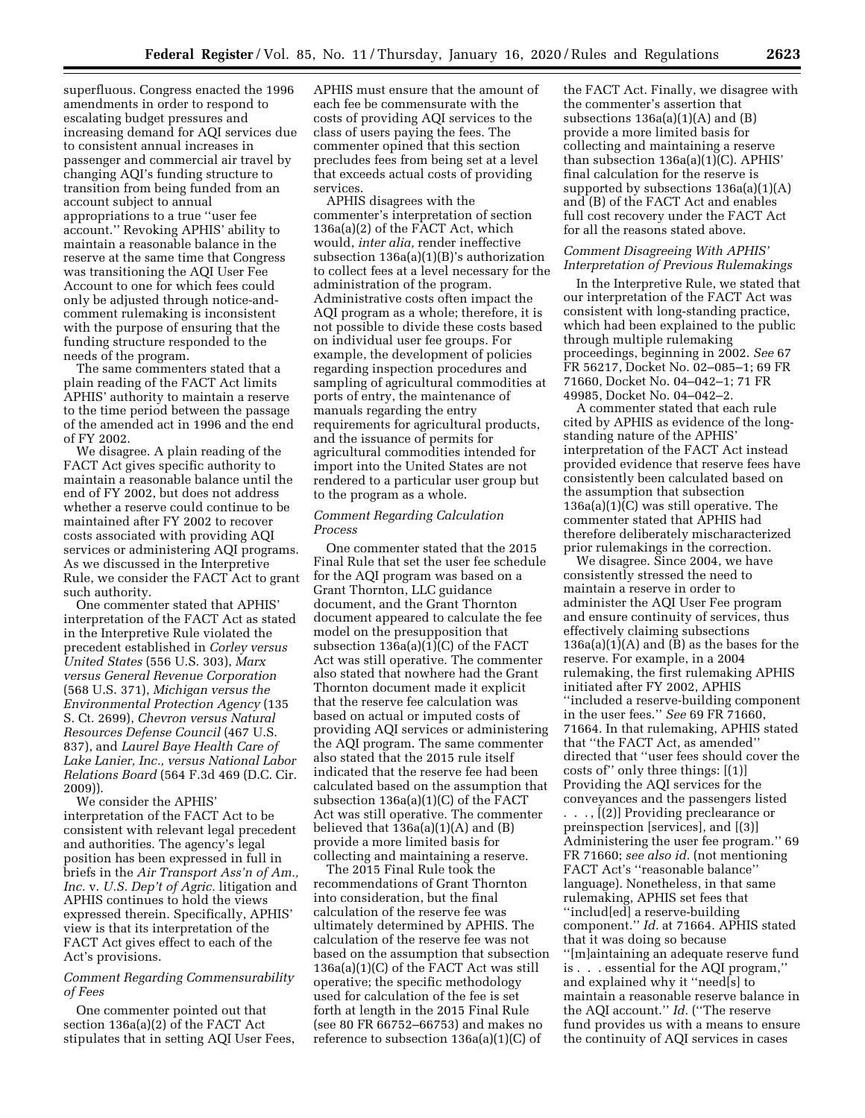superfluous. Congress enacted the 1996 amendments in order to respond to escalating budget pressures and increasing demand for AQI services due to consistent annual increases in passenger and commercial air travel by changing AQI's funding structure to transition from being funded from an account subject to annual appropriations to a true ''user fee account.'' Revoking APHIS' ability to maintain a reasonable balance in the reserve at the same time that Congress was transitioning the AQI User Fee Account to one for which fees could only be adjusted through notice-andcomment rulemaking is inconsistent with the purpose of ensuring that the funding structure responded to the needs of the program.

The same commenters stated that a plain reading of the FACT Act limits APHIS' authority to maintain a reserve to the time period between the passage of the amended act in 1996 and the end of FY 2002.

We disagree. A plain reading of the FACT Act gives specific authority to maintain a reasonable balance until the end of FY 2002, but does not address whether a reserve could continue to be maintained after FY 2002 to recover costs associated with providing AQI services or administering AQI programs. As we discussed in the Interpretive Rule, we consider the FACT Act to grant such authority.

One commenter stated that APHIS' interpretation of the FACT Act as stated in the Interpretive Rule violated the precedent established in *Corley versus United States* (556 U.S. 303), *Marx versus General Revenue Corporation*  (568 U.S. 371), *Michigan versus the Environmental Protection Agency* (135 S. Ct. 2699), *Chevron versus Natural Resources Defense Council* (467 U.S. 837), and *Laurel Baye Health Care of Lake Lanier, Inc., versus National Labor Relations Board* (564 F.3d 469 (D.C. Cir. 2009)).

We consider the APHIS' interpretation of the FACT Act to be consistent with relevant legal precedent and authorities. The agency's legal position has been expressed in full in briefs in the *Air Transport Ass'n of Am., Inc.* v. *U.S. Dep't of Agric.* litigation and APHIS continues to hold the views expressed therein. Specifically, APHIS' view is that its interpretation of the FACT Act gives effect to each of the Act's provisions.

#### *Comment Regarding Commensurability of Fees*

One commenter pointed out that section 136a(a)(2) of the FACT Act stipulates that in setting AQI User Fees,

APHIS must ensure that the amount of each fee be commensurate with the costs of providing AQI services to the class of users paying the fees. The commenter opined that this section precludes fees from being set at a level that exceeds actual costs of providing services.

APHIS disagrees with the commenter's interpretation of section 136a(a)(2) of the FACT Act, which would, *inter alia,* render ineffective subsection 136a(a)(1)(B)'s authorization to collect fees at a level necessary for the administration of the program. Administrative costs often impact the AQI program as a whole; therefore, it is not possible to divide these costs based on individual user fee groups. For example, the development of policies regarding inspection procedures and sampling of agricultural commodities at ports of entry, the maintenance of manuals regarding the entry requirements for agricultural products, and the issuance of permits for agricultural commodities intended for import into the United States are not rendered to a particular user group but to the program as a whole.

#### *Comment Regarding Calculation Process*

One commenter stated that the 2015 Final Rule that set the user fee schedule for the AQI program was based on a Grant Thornton, LLC guidance document, and the Grant Thornton document appeared to calculate the fee model on the presupposition that subsection 136a(a)(1)(C) of the FACT Act was still operative. The commenter also stated that nowhere had the Grant Thornton document made it explicit that the reserve fee calculation was based on actual or imputed costs of providing AQI services or administering the AQI program. The same commenter also stated that the 2015 rule itself indicated that the reserve fee had been calculated based on the assumption that subsection 136a(a)(1)(C) of the FACT Act was still operative. The commenter believed that  $136a(a)(1)(A)$  and  $(B)$ provide a more limited basis for collecting and maintaining a reserve.

The 2015 Final Rule took the recommendations of Grant Thornton into consideration, but the final calculation of the reserve fee was ultimately determined by APHIS. The calculation of the reserve fee was not based on the assumption that subsection 136a(a)(1)(C) of the FACT Act was still operative; the specific methodology used for calculation of the fee is set forth at length in the 2015 Final Rule (see 80 FR 66752–66753) and makes no reference to subsection 136a(a)(1)(C) of

the FACT Act. Finally, we disagree with the commenter's assertion that subsections  $136a(a)(1)(A)$  and  $(B)$ provide a more limited basis for collecting and maintaining a reserve than subsection 136a(a)(1)(C). APHIS' final calculation for the reserve is supported by subsections 136a(a)(1)(A) and (B) of the FACT Act and enables full cost recovery under the FACT Act for all the reasons stated above.

#### *Comment Disagreeing With APHIS' Interpretation of Previous Rulemakings*

In the Interpretive Rule, we stated that our interpretation of the FACT Act was consistent with long-standing practice, which had been explained to the public through multiple rulemaking proceedings, beginning in 2002. *See* 67 FR 56217, Docket No. 02–085–1; 69 FR 71660, Docket No. 04–042–1; 71 FR 49985, Docket No. 04–042–2.

A commenter stated that each rule cited by APHIS as evidence of the longstanding nature of the APHIS' interpretation of the FACT Act instead provided evidence that reserve fees have consistently been calculated based on the assumption that subsection 136a(a)(1)(C) was still operative. The commenter stated that APHIS had therefore deliberately mischaracterized prior rulemakings in the correction.

We disagree. Since 2004, we have consistently stressed the need to maintain a reserve in order to administer the AQI User Fee program and ensure continuity of services, thus effectively claiming subsections  $136a(a)(1)(A)$  and  $(B)$  as the bases for the reserve. For example, in a 2004 rulemaking, the first rulemaking APHIS initiated after FY 2002, APHIS ''included a reserve-building component in the user fees.'' *See* 69 FR 71660, 71664. In that rulemaking, APHIS stated that ''the FACT Act, as amended'' directed that ''user fees should cover the costs of'' only three things: [(1)] Providing the AQI services for the conveyances and the passengers listed

. . . , [(2)] Providing preclearance or preinspection [services], and [(3)] Administering the user fee program.'' 69 FR 71660; *see also id.* (not mentioning FACT Act's ''reasonable balance'' language). Nonetheless, in that same rulemaking, APHIS set fees that ''includ[ed] a reserve-building component.'' *Id.* at 71664. APHIS stated that it was doing so because ''[m]aintaining an adequate reserve fund is . . . essential for the AQI program,'' and explained why it ''need[s] to maintain a reasonable reserve balance in the AQI account.'' *Id.* (''The reserve fund provides us with a means to ensure the continuity of AQI services in cases